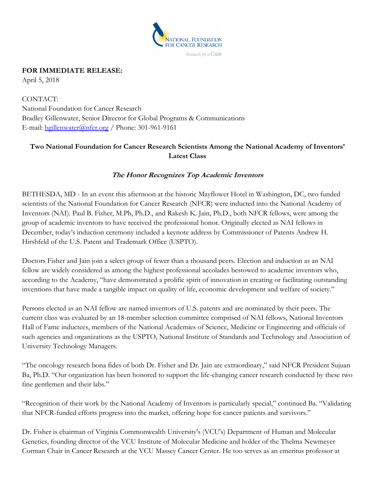

## **FOR IMMEDIATE RELEASE:**

April 5, 2018

CONTACT: National Foundation for Cancer Research Bradley Gillenwater, Senior Director for Global Programs & Communications E-mail: [bgillenwater@nfcr.org](mailto:bgillenwater@nfcr.org) / Phone: 301-961-9161

## **Two National Foundation for Cancer Research Scientists Among the National Academy of Inventors' Latest Class**

## **The Honor Recognizes Top Academic Inventors**

BETHESDA, MD - In an event this afternoon at the historic Mayflower Hotel in Washington, DC, two funded scientists of the National Foundation for Cancer Research (NFCR) were inducted into the National Academy of Inventors (NAI). Paul B. Fisher, M.Ph, Ph.D., and Rakesh K. Jain, Ph.D., both NFCR fellows, were among the group of academic inventors to have received the professional honor. Originally elected as NAI fellows in December, today's induction ceremony included a keynote address by Commissioner of Patents Andrew H. Hirshfeld of the U.S. Patent and Trademark Office (USPTO).

Doctors Fisher and Jain join a select group of fewer than a thousand peers. Election and induction as an NAI fellow are widely considered as among the highest professional accolades bestowed to academic inventors who, according to the Academy, "have demonstrated a prolific spirit of innovation in creating or facilitating outstanding inventions that have made a tangible impact on quality of life, economic development and welfare of society."

Persons elected as an NAI fellow are named inventors of U.S. patents and are nominated by their peers. The current class was evaluated by an 18-member selection committee comprised of NAI fellows, National Inventors Hall of Fame inductees, members of the National Academies of Science, Medicine or Engineering and officials of such agencies and organizations as the USPTO, National Institute of Standards and Technology and Association of University Technology Managers.

"The oncology research bona fides of both Dr. Fisher and Dr. Jain are extraordinary," said NFCR President Sujuan Ba, Ph.D. "Our organization has been honored to support the life-changing cancer research conducted by these two fine gentlemen and their labs."

"Recognition of their work by the National Academy of Inventors is particularly special," continued Ba. "Validating that NFCR-funded efforts progress into the market, offering hope for cancer patients and survivors."

Dr. Fisher is chairman of Virginia Commonwealth University's (VCU's) Department of Human and Molecular Genetics, founding director of the VCU Institute of Molecular Medicine and holder of the Thelma Newmeyer Corman Chair in Cancer Research at the VCU Massey Cancer Center. He too serves as an emeritus professor at